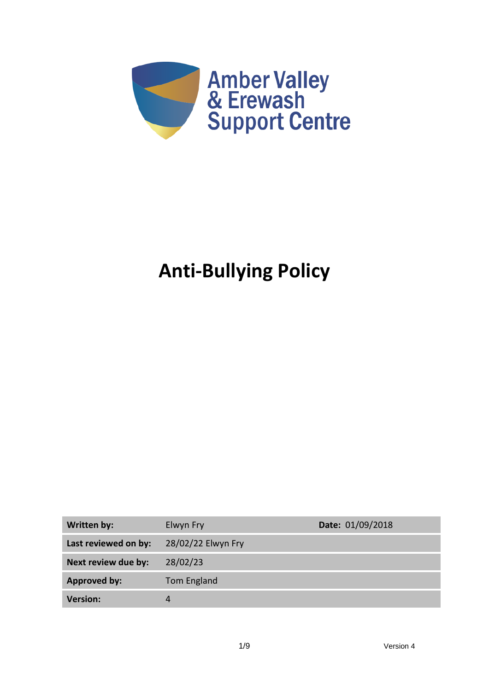

# **Anti-Bullying Policy**

| <b>Written by:</b>   | Elwyn Fry          | Date: 01/09/2018 |
|----------------------|--------------------|------------------|
| Last reviewed on by: | 28/02/22 Elwyn Fry |                  |
| Next review due by:  | 28/02/23           |                  |
| <b>Approved by:</b>  | Tom England        |                  |
| <b>Version:</b>      | 4                  |                  |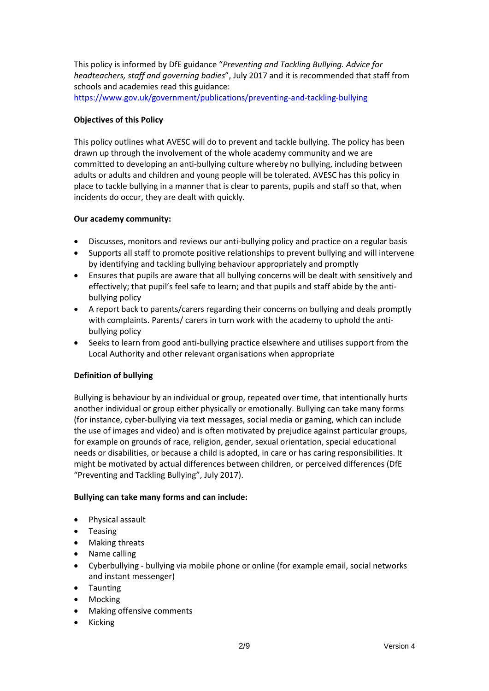This policy is informed by DfE guidance "*Preventing and Tackling Bullying. Advice for headteachers, staff and governing bodies*", July 2017 and it is recommended that staff from schools and academies read this guidance:

<https://www.gov.uk/government/publications/preventing-and-tackling-bullying>

## **Objectives of this Policy**

This policy outlines what AVESC will do to prevent and tackle bullying. The policy has been drawn up through the involvement of the whole academy community and we are committed to developing an anti-bullying culture whereby no bullying, including between adults or adults and children and young people will be tolerated. AVESC has this policy in place to tackle bullying in a manner that is clear to parents, pupils and staff so that, when incidents do occur, they are dealt with quickly.

## **Our academy community:**

- Discusses, monitors and reviews our anti-bullying policy and practice on a regular basis
- Supports all staff to promote positive relationships to prevent bullying and will intervene by identifying and tackling bullying behaviour appropriately and promptly
- Ensures that pupils are aware that all bullying concerns will be dealt with sensitively and effectively; that pupil's feel safe to learn; and that pupils and staff abide by the antibullying policy
- A report back to parents/carers regarding their concerns on bullying and deals promptly with complaints. Parents/ carers in turn work with the academy to uphold the antibullying policy
- Seeks to learn from good anti-bullying practice elsewhere and utilises support from the Local Authority and other relevant organisations when appropriate

# **Definition of bullying**

Bullying is behaviour by an individual or group, repeated over time, that intentionally hurts another individual or group either physically or emotionally. Bullying can take many forms (for instance, cyber-bullying via text messages, social media or gaming, which can include the use of images and video) and is often motivated by prejudice against particular groups, for example on grounds of race, religion, gender, sexual orientation, special educational needs or disabilities, or because a child is adopted, in care or has caring responsibilities. It might be motivated by actual differences between children, or perceived differences (DfE "Preventing and Tackling Bullying", July 2017).

# **Bullying can take many forms and can include:**

- Physical assault
- Teasing
- Making threats
- Name calling
- Cyberbullying bullying via mobile phone or online (for example email, social networks and instant messenger)
- Taunting
- Mocking
- Making offensive comments
- Kicking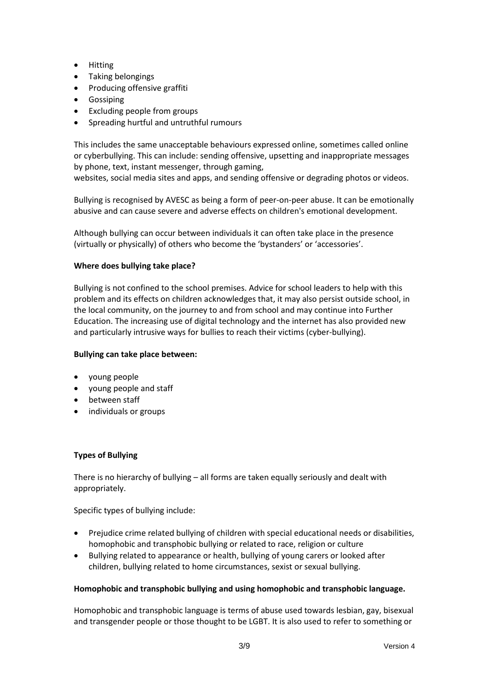- Hitting
- Taking belongings
- Producing offensive graffiti
- Gossiping
- Excluding people from groups
- Spreading hurtful and untruthful rumours

This includes the same unacceptable behaviours expressed online, sometimes called online or cyberbullying. This can include: sending offensive, upsetting and inappropriate messages by phone, text, instant messenger, through gaming,

websites, social media sites and apps, and sending offensive or degrading photos or videos.

Bullying is recognised by AVESC as being a form of peer-on-peer abuse. It can be emotionally abusive and can cause severe and adverse effects on children's emotional development.

Although bullying can occur between individuals it can often take place in the presence (virtually or physically) of others who become the 'bystanders' or 'accessories'.

## **Where does bullying take place?**

Bullying is not confined to the school premises. Advice for school leaders to help with this problem and its effects on children acknowledges that, it may also persist outside school, in the local community, on the journey to and from school and may continue into Further Education. The increasing use of digital technology and the internet has also provided new and particularly intrusive ways for bullies to reach their victims (cyber-bullying).

#### **Bullying can take place between:**

- young people
- young people and staff
- between staff
- individuals or groups

#### **Types of Bullying**

There is no hierarchy of bullying – all forms are taken equally seriously and dealt with appropriately.

Specific types of bullying include:

- Prejudice crime related bullying of children with special educational needs or disabilities, homophobic and transphobic bullying or related to race, religion or culture
- Bullying related to appearance or health, bullying of young carers or looked after children, bullying related to home circumstances, sexist or sexual bullying.

#### **Homophobic and transphobic bullying and using homophobic and transphobic language.**

Homophobic and transphobic language is terms of abuse used towards lesbian, gay, bisexual and transgender people or those thought to be LGBT. It is also used to refer to something or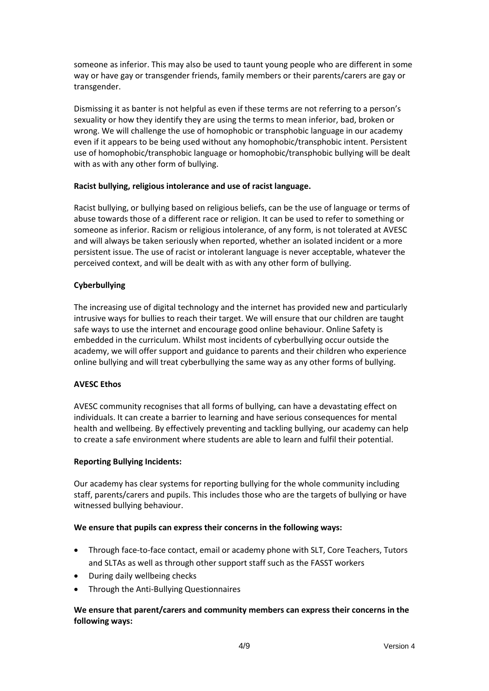someone as inferior. This may also be used to taunt young people who are different in some way or have gay or transgender friends, family members or their parents/carers are gay or transgender.

Dismissing it as banter is not helpful as even if these terms are not referring to a person's sexuality or how they identify they are using the terms to mean inferior, bad, broken or wrong. We will challenge the use of homophobic or transphobic language in our academy even if it appears to be being used without any homophobic/transphobic intent. Persistent use of homophobic/transphobic language or homophobic/transphobic bullying will be dealt with as with any other form of bullying.

## **Racist bullying, religious intolerance and use of racist language.**

Racist bullying, or bullying based on religious beliefs, can be the use of language or terms of abuse towards those of a different race or religion. It can be used to refer to something or someone as inferior. Racism or religious intolerance, of any form, is not tolerated at AVESC and will always be taken seriously when reported, whether an isolated incident or a more persistent issue. The use of racist or intolerant language is never acceptable, whatever the perceived context, and will be dealt with as with any other form of bullying.

## **Cyberbullying**

The increasing use of digital technology and the internet has provided new and particularly intrusive ways for bullies to reach their target. We will ensure that our children are taught safe ways to use the internet and encourage good online behaviour. Online Safety is embedded in the curriculum. Whilst most incidents of cyberbullying occur outside the academy, we will offer support and guidance to parents and their children who experience online bullying and will treat cyberbullying the same way as any other forms of bullying.

#### **AVESC Ethos**

AVESC community recognises that all forms of bullying, can have a devastating effect on individuals. It can create a barrier to learning and have serious consequences for mental health and wellbeing. By effectively preventing and tackling bullying, our academy can help to create a safe environment where students are able to learn and fulfil their potential.

#### **Reporting Bullying Incidents:**

Our academy has clear systems for reporting bullying for the whole community including staff, parents/carers and pupils. This includes those who are the targets of bullying or have witnessed bullying behaviour.

#### **We ensure that pupils can express their concerns in the following ways:**

- Through face-to-face contact, email or academy phone with SLT, Core Teachers, Tutors and SLTAs as well as through other support staff such as the FASST workers
- During daily wellbeing checks
- Through the Anti-Bullying Questionnaires

# **We ensure that parent/carers and community members can express their concerns in the following ways:**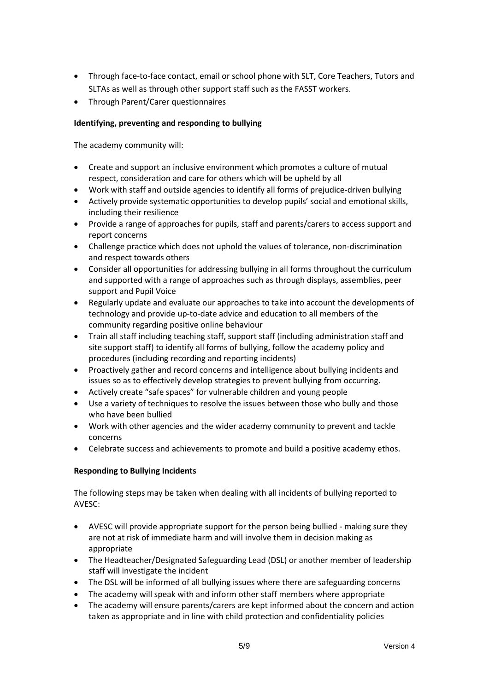- Through face-to-face contact, email or school phone with SLT, Core Teachers, Tutors and SLTAs as well as through other support staff such as the FASST workers.
- Through Parent/Carer questionnaires

# **Identifying, preventing and responding to bullying**

The academy community will:

- Create and support an inclusive environment which promotes a culture of mutual respect, consideration and care for others which will be upheld by all
- Work with staff and outside agencies to identify all forms of prejudice-driven bullying
- Actively provide systematic opportunities to develop pupils' social and emotional skills, including their resilience
- Provide a range of approaches for pupils, staff and parents/carers to access support and report concerns
- Challenge practice which does not uphold the values of tolerance, non-discrimination and respect towards others
- Consider all opportunities for addressing bullying in all forms throughout the curriculum and supported with a range of approaches such as through displays, assemblies, peer support and Pupil Voice
- Regularly update and evaluate our approaches to take into account the developments of technology and provide up-to-date advice and education to all members of the community regarding positive online behaviour
- Train all staff including teaching staff, support staff (including administration staff and site support staff) to identify all forms of bullying, follow the academy policy and procedures (including recording and reporting incidents)
- Proactively gather and record concerns and intelligence about bullying incidents and issues so as to effectively develop strategies to prevent bullying from occurring.
- Actively create "safe spaces" for vulnerable children and young people
- Use a variety of techniques to resolve the issues between those who bully and those who have been bullied
- Work with other agencies and the wider academy community to prevent and tackle concerns
- Celebrate success and achievements to promote and build a positive academy ethos.

# **Responding to Bullying Incidents**

The following steps may be taken when dealing with all incidents of bullying reported to AVESC:

- AVESC will provide appropriate support for the person being bullied making sure they are not at risk of immediate harm and will involve them in decision making as appropriate
- The Headteacher/Designated Safeguarding Lead (DSL) or another member of leadership staff will investigate the incident
- The DSL will be informed of all bullying issues where there are safeguarding concerns
- The academy will speak with and inform other staff members where appropriate
- The academy will ensure parents/carers are kept informed about the concern and action taken as appropriate and in line with child protection and confidentiality policies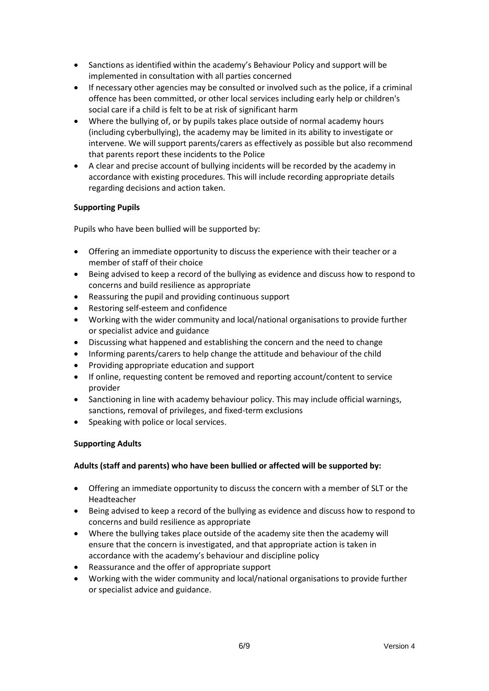- Sanctions as identified within the academy's Behaviour Policy and support will be implemented in consultation with all parties concerned
- If necessary other agencies may be consulted or involved such as the police, if a criminal offence has been committed, or other local services including early help or children's social care if a child is felt to be at risk of significant harm
- Where the bullying of, or by pupils takes place outside of normal academy hours (including cyberbullying), the academy may be limited in its ability to investigate or intervene. We will support parents/carers as effectively as possible but also recommend that parents report these incidents to the Police
- A clear and precise account of bullying incidents will be recorded by the academy in accordance with existing procedures. This will include recording appropriate details regarding decisions and action taken.

# **Supporting Pupils**

Pupils who have been bullied will be supported by:

- Offering an immediate opportunity to discuss the experience with their teacher or a member of staff of their choice
- Being advised to keep a record of the bullying as evidence and discuss how to respond to concerns and build resilience as appropriate
- Reassuring the pupil and providing continuous support
- Restoring self-esteem and confidence
- Working with the wider community and local/national organisations to provide further or specialist advice and guidance
- Discussing what happened and establishing the concern and the need to change
- Informing parents/carers to help change the attitude and behaviour of the child
- Providing appropriate education and support
- If online, requesting content be removed and reporting account/content to service provider
- Sanctioning in line with academy behaviour policy. This may include official warnings, sanctions, removal of privileges, and fixed-term exclusions
- Speaking with police or local services.

# **Supporting Adults**

# **Adults (staff and parents) who have been bullied or affected will be supported by:**

- Offering an immediate opportunity to discuss the concern with a member of SLT or the Headteacher
- Being advised to keep a record of the bullying as evidence and discuss how to respond to concerns and build resilience as appropriate
- Where the bullying takes place outside of the academy site then the academy will ensure that the concern is investigated, and that appropriate action is taken in accordance with the academy's behaviour and discipline policy
- Reassurance and the offer of appropriate support
- Working with the wider community and local/national organisations to provide further or specialist advice and guidance.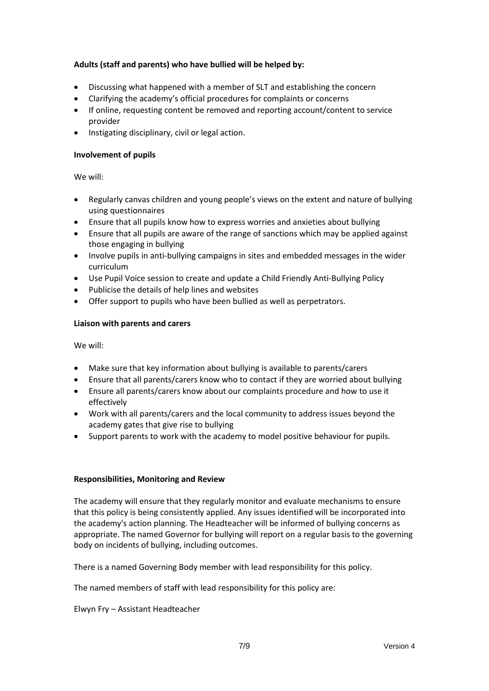# **Adults (staff and parents) who have bullied will be helped by:**

- Discussing what happened with a member of SLT and establishing the concern
- Clarifying the academy's official procedures for complaints or concerns
- If online, requesting content be removed and reporting account/content to service provider
- Instigating disciplinary, civil or legal action.

#### **Involvement of pupils**

We will:

- Regularly canvas children and young people's views on the extent and nature of bullying using questionnaires
- Ensure that all pupils know how to express worries and anxieties about bullying
- Ensure that all pupils are aware of the range of sanctions which may be applied against those engaging in bullying
- Involve pupils in anti-bullying campaigns in sites and embedded messages in the wider curriculum
- Use Pupil Voice session to create and update a Child Friendly Anti-Bullying Policy
- Publicise the details of help lines and websites
- Offer support to pupils who have been bullied as well as perpetrators.

#### **Liaison with parents and carers**

We will:

- Make sure that key information about bullying is available to parents/carers
- Ensure that all parents/carers know who to contact if they are worried about bullying
- Ensure all parents/carers know about our complaints procedure and how to use it effectively
- Work with all parents/carers and the local community to address issues beyond the academy gates that give rise to bullying
- Support parents to work with the academy to model positive behaviour for pupils.

#### **Responsibilities, Monitoring and Review**

The academy will ensure that they regularly monitor and evaluate mechanisms to ensure that this policy is being consistently applied. Any issues identified will be incorporated into the academy's action planning. The Headteacher will be informed of bullying concerns as appropriate. The named Governor for bullying will report on a regular basis to the governing body on incidents of bullying, including outcomes.

There is a named Governing Body member with lead responsibility for this policy.

The named members of staff with lead responsibility for this policy are:

Elwyn Fry – Assistant Headteacher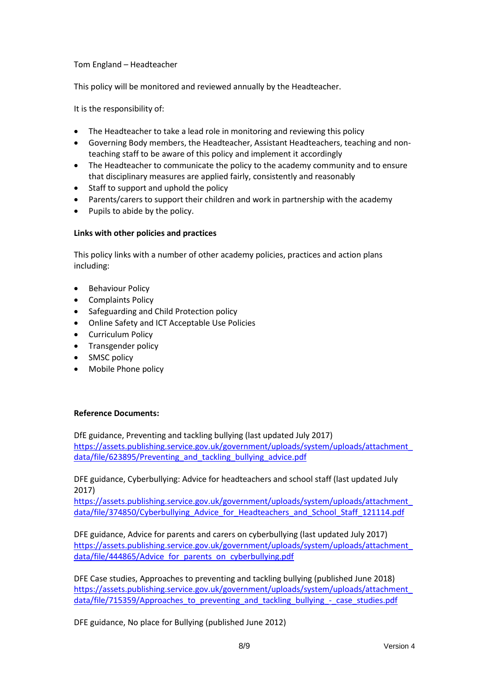Tom England – Headteacher

This policy will be monitored and reviewed annually by the Headteacher.

It is the responsibility of:

- The Headteacher to take a lead role in monitoring and reviewing this policy
- Governing Body members, the Headteacher, Assistant Headteachers, teaching and nonteaching staff to be aware of this policy and implement it accordingly
- The Headteacher to communicate the policy to the academy community and to ensure that disciplinary measures are applied fairly, consistently and reasonably
- Staff to support and uphold the policy
- Parents/carers to support their children and work in partnership with the academy
- Pupils to abide by the policy.

## **Links with other policies and practices**

This policy links with a number of other academy policies, practices and action plans including:

- Behaviour Policy
- Complaints Policy
- Safeguarding and Child Protection policy
- Online Safety and ICT Acceptable Use Policies
- Curriculum Policy
- Transgender policy
- SMSC policy
- Mobile Phone policy

# **Reference Documents:**

DfE guidance, Preventing and tackling bullying (last updated July 2017) [https://assets.publishing.service.gov.uk/government/uploads/system/uploads/attachment\\_](https://assets.publishing.service.gov.uk/government/uploads/system/uploads/attachment_data/file/623895/Preventing_and_tackling_bullying_advice.pdf) data/file/623895/Preventing and tackling bullying advice.pdf

DFE guidance, Cyberbullying: Advice for headteachers and school staff (last updated July 2017)

[https://assets.publishing.service.gov.uk/government/uploads/system/uploads/attachment\\_](https://assets.publishing.service.gov.uk/government/uploads/system/uploads/attachment_data/file/374850/Cyberbullying_Advice_for_Headteachers_and_School_Staff_121114.pdf) [data/file/374850/Cyberbullying\\_Advice\\_for\\_Headteachers\\_and\\_School\\_Staff\\_121114.pdf](https://assets.publishing.service.gov.uk/government/uploads/system/uploads/attachment_data/file/374850/Cyberbullying_Advice_for_Headteachers_and_School_Staff_121114.pdf)

DFE guidance, Advice for parents and carers on cyberbullying (last updated July 2017) [https://assets.publishing.service.gov.uk/government/uploads/system/uploads/attachment\\_](https://assets.publishing.service.gov.uk/government/uploads/system/uploads/attachment_data/file/444865/Advice_for_parents_on_cyberbullying.pdf) [data/file/444865/Advice\\_for\\_parents\\_on\\_cyberbullying.pdf](https://assets.publishing.service.gov.uk/government/uploads/system/uploads/attachment_data/file/444865/Advice_for_parents_on_cyberbullying.pdf)

DFE Case studies, Approaches to preventing and tackling bullying (published June 2018) [https://assets.publishing.service.gov.uk/government/uploads/system/uploads/attachment\\_](https://assets.publishing.service.gov.uk/government/uploads/system/uploads/attachment_data/file/715359/Approaches_to_preventing_and_tackling_bullying_-_case_studies.pdf) [data/file/715359/Approaches\\_to\\_preventing\\_and\\_tackling\\_bullying\\_-\\_case\\_studies.pdf](https://assets.publishing.service.gov.uk/government/uploads/system/uploads/attachment_data/file/715359/Approaches_to_preventing_and_tackling_bullying_-_case_studies.pdf)

DFE guidance, No place for Bullying (published June 2012)